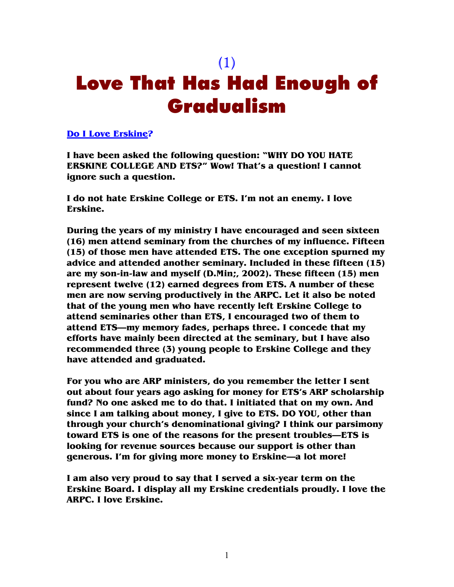# (1) Love That Has Had Enough of Gradualism

#### **Do I Love Erskine?**

**I have been asked the following question: "WHY DO YOU HATE ERSKINE COLLEGE AND ETS?" Wow! That's a question! I cannot ignore such a question.** 

**I do not hate Erskine College or ETS. I'm not an enemy. I love Erskine.** 

**During the years of my ministry I have encouraged and seen sixteen (16) men attend seminary from the churches of my influence. Fifteen (15) of those men have attended ETS. The one exception spurned my advice and attended another seminary. Included in these fifteen (15) are my son-in-law and myself (D.Min;, 2002). These fifteen (15) men represent twelve (12) earned degrees from ETS. A number of these men are now serving productively in the ARPC. Let it also be noted that of the young men who have recently left Erskine College to attend seminaries other than ETS, I encouraged two of them to attend ETS—my memory fades, perhaps three. I concede that my efforts have mainly been directed at the seminary, but I have also recommended three (3) young people to Erskine College and they have attended and graduated.** 

**For you who are ARP ministers, do you remember the letter I sent out about four years ago asking for money for ETS's ARP scholarship fund? No one asked me to do that. I initiated that on my own. And since I am talking about money, I give to ETS. DO YOU, other than through your church's denominational giving? I think our parsimony toward ETS is one of the reasons for the present troubles—ETS is looking for revenue sources because our support is other than generous. I'm for giving more money to Erskine—a lot more!** 

**I am also very proud to say that I served a six-year term on the Erskine Board. I display all my Erskine credentials proudly. I love the ARPC. I love Erskine.**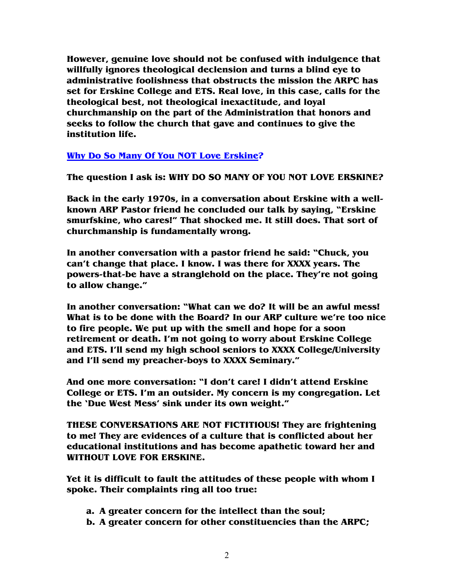**However, genuine love should not be confused with indulgence that willfully ignores theological declension and turns a blind eye to administrative foolishness that obstructs the mission the ARPC has set for Erskine College and ETS. Real love, in this case, calls for the theological best, not theological inexactitude, and loyal churchmanship on the part of the Administration that honors and seeks to follow the church that gave and continues to give the institution life.** 

### **Why Do So Many Of You NOT Love Erskine?**

**The question I ask is: WHY DO SO MANY OF YOU NOT LOVE ERSKINE?** 

**Back in the early 1970s, in a conversation about Erskine with a wellknown ARP Pastor friend he concluded our talk by saying, "Erskine smurfskine, who cares!" That shocked me. It still does. That sort of churchmanship is fundamentally wrong.** 

**In another conversation with a pastor friend he said: "Chuck, you can't change that place. I know. I was there for XXXX years. The powers-that-be have a stranglehold on the place. They're not going to allow change."** 

**In another conversation: "What can we do? It will be an awful mess! What is to be done with the Board? In our ARP culture we're too nice to fire people. We put up with the smell and hope for a soon retirement or death. I'm not going to worry about Erskine College and ETS. I'll send my high school seniors to XXXX College/University and I'll send my preacher-boys to XXXX Seminary."** 

**And one more conversation: "I don't care! I didn't attend Erskine College or ETS. I'm an outsider. My concern is my congregation. Let the 'Due West Mess' sink under its own weight."** 

**THESE CONVERSATIONS ARE NOT FICTITIOUS! They are frightening to me! They are evidences of a culture that is conflicted about her educational institutions and has become apathetic toward her and WITHOUT LOVE FOR ERSKINE.** 

**Yet it is difficult to fault the attitudes of these people with whom I spoke. Their complaints ring all too true:** 

- **a. A greater concern for the intellect than the soul;**
- **b. A greater concern for other constituencies than the ARPC;**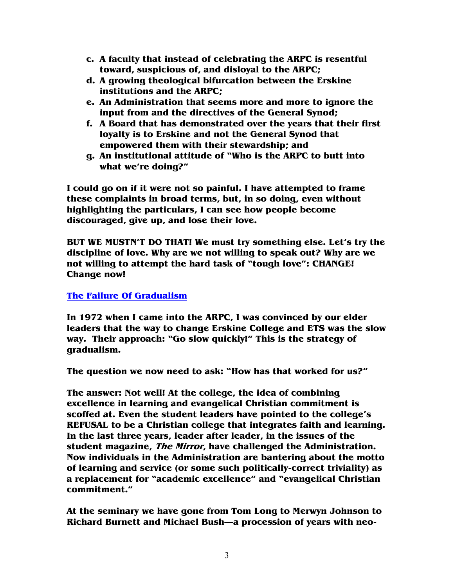- **c. A faculty that instead of celebrating the ARPC is resentful toward, suspicious of, and disloyal to the ARPC;**
- **d. A growing theological bifurcation between the Erskine institutions and the ARPC;**
- **e. An Administration that seems more and more to ignore the input from and the directives of the General Synod;**
- **f. A Board that has demonstrated over the years that their first loyalty is to Erskine and not the General Synod that empowered them with their stewardship; and**
- **g. An institutional attitude of "Who is the ARPC to butt into what we're doing?"**

**I could go on if it were not so painful. I have attempted to frame these complaints in broad terms, but, in so doing, even without highlighting the particulars, I can see how people become discouraged, give up, and lose their love.** 

**BUT WE MUSTN'T DO THAT! We must try something else. Let's try the discipline of love. Why are we not willing to speak out? Why are we not willing to attempt the hard task of "tough love": CHANGE! Change now!** 

### **The Failure Of Gradualism**

**In 1972 when I came into the ARPC, I was convinced by our elder leaders that the way to change Erskine College and ETS was the slow way. Their approach: "Go slow quickly!" This is the strategy of gradualism.** 

**The question we now need to ask: "How has that worked for us?"** 

**The answer: Not well! At the college, the idea of combining excellence in learning and evangelical Christian commitment is scoffed at. Even the student leaders have pointed to the college's REFUSAL to be a Christian college that integrates faith and learning. In the last three years, leader after leader, in the issues of the student magazine, The Mirror, have challenged the Administration. Now individuals in the Administration are bantering about the motto of learning and service (or some such politically-correct triviality) as a replacement for "academic excellence" and "evangelical Christian commitment."** 

**At the seminary we have gone from Tom Long to Merwyn Johnson to Richard Burnett and Michael Bush—a procession of years with neo-**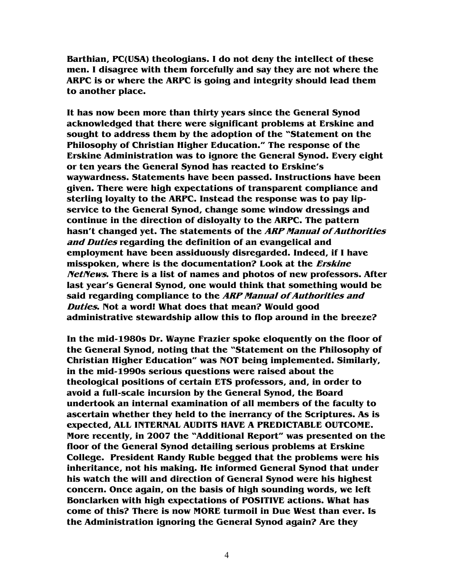**Barthian, PC(USA) theologians. I do not deny the intellect of these men. I disagree with them forcefully and say they are not where the ARPC is or where the ARPC is going and integrity should lead them to another place.** 

**It has now been more than thirty years since the General Synod acknowledged that there were significant problems at Erskine and sought to address them by the adoption of the "Statement on the Philosophy of Christian Higher Education." The response of the Erskine Administration was to ignore the General Synod. Every eight or ten years the General Synod has reacted to Erskine's waywardness. Statements have been passed. Instructions have been given. There were high expectations of transparent compliance and sterling loyalty to the ARPC. Instead the response was to pay lipservice to the General Synod, change some window dressings and continue in the direction of disloyalty to the ARPC. The pattern hasn't changed yet. The statements of the ARP Manual of Authorities and Duties regarding the definition of an evangelical and employment have been assiduously disregarded. Indeed, if I have misspoken, where is the documentation? Look at the Erskine NetNews. There is a list of names and photos of new professors. After last year's General Synod, one would think that something would be said regarding compliance to the ARP Manual of Authorities and Duties. Not a word! What does that mean? Would good administrative stewardship allow this to flop around in the breeze?** 

**In the mid-1980s Dr. Wayne Frazier spoke eloquently on the floor of the General Synod, noting that the "Statement on the Philosophy of Christian Higher Education" was NOT being implemented. Similarly, in the mid-1990s serious questions were raised about the theological positions of certain ETS professors, and, in order to avoid a full-scale incursion by the General Synod, the Board undertook an internal examination of all members of the faculty to ascertain whether they held to the inerrancy of the Scriptures. As is expected, ALL INTERNAL AUDITS HAVE A PREDICTABLE OUTCOME. More recently, in 2007 the "Additional Report" was presented on the floor of the General Synod detailing serious problems at Erskine College. President Randy Ruble begged that the problems were his inheritance, not his making. He informed General Synod that under his watch the will and direction of General Synod were his highest concern. Once again, on the basis of high sounding words, we left Bonclarken with high expectations of POSITIVE actions. What has come of this? There is now MORE turmoil in Due West than ever. Is the Administration ignoring the General Synod again? Are they**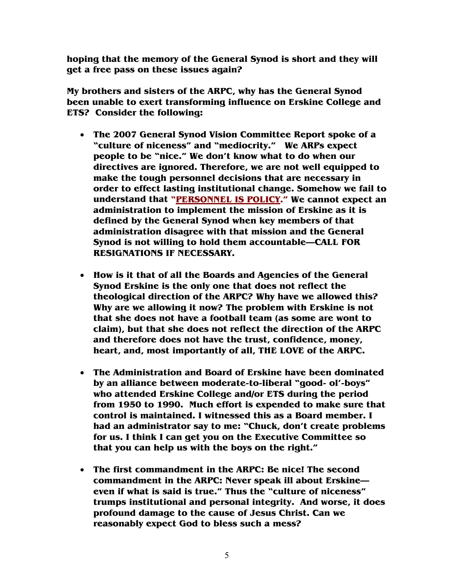**hoping that the memory of the General Synod is short and they will get a free pass on these issues again?** 

**My brothers and sisters of the ARPC, why has the General Synod been unable to exert transforming influence on Erskine College and ETS? Consider the following:** 

- **The 2007 General Synod Vision Committee Report spoke of a "culture of niceness" and "mediocrity." We ARPs expect people to be "nice." We don't know what to do when our directives are ignored. Therefore, we are not well equipped to make the tough personnel decisions that are necessary in order to effect lasting institutional change. Somehow we fail to understand that "PERSONNEL IS POLICY." We cannot expect an administration to implement the mission of Erskine as it is defined by the General Synod when key members of that administration disagree with that mission and the General Synod is not willing to hold them accountable—CALL FOR RESIGNATIONS IF NECESSARY.**
- **How is it that of all the Boards and Agencies of the General Synod Erskine is the only one that does not reflect the theological direction of the ARPC? Why have we allowed this? Why are we allowing it now? The problem with Erskine is not that she does not have a football team (as some are wont to claim), but that she does not reflect the direction of the ARPC and therefore does not have the trust, confidence, money, heart, and, most importantly of all, THE LOVE of the ARPC.**
- **The Administration and Board of Erskine have been dominated by an alliance between moderate-to-liberal "good- ol'-boys" who attended Erskine College and/or ETS during the period from 1950 to 1990. Much effort is expended to make sure that control is maintained. I witnessed this as a Board member. I had an administrator say to me: "Chuck, don't create problems for us. I think I can get you on the Executive Committee so that you can help us with the boys on the right."**
- **The first commandment in the ARPC: Be nice! The second commandment in the ARPC: Never speak ill about Erskine even if what is said is true." Thus the "culture of niceness" trumps institutional and personal integrity. And worse, it does profound damage to the cause of Jesus Christ. Can we reasonably expect God to bless such a mess?**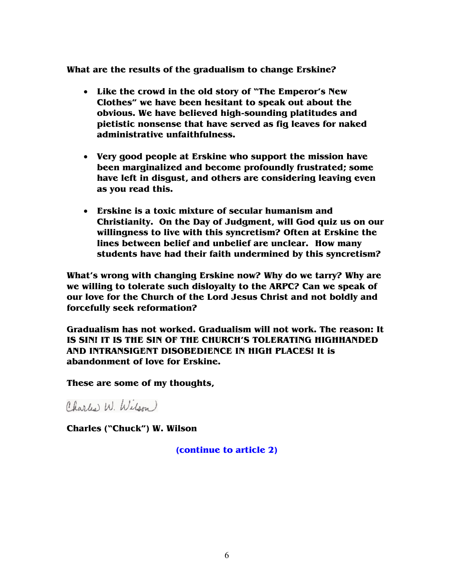**What are the results of the gradualism to change Erskine?** 

- **Like the crowd in the old story of "The Emperor's New Clothes" we have been hesitant to speak out about the obvious. We have believed high-sounding platitudes and pietistic nonsense that have served as fig leaves for naked administrative unfaithfulness.**
- **Very good people at Erskine who support the mission have been marginalized and become profoundly frustrated; some have left in disgust, and others are considering leaving even as you read this.**
- **Erskine is a toxic mixture of secular humanism and Christianity. On the Day of Judgment, will God quiz us on our willingness to live with this syncretism? Often at Erskine the lines between belief and unbelief are unclear. How many students have had their faith undermined by this syncretism?**

**What's wrong with changing Erskine now? Why do we tarry? Why are we willing to tolerate such disloyalty to the ARPC? Can we speak of our love for the Church of the Lord Jesus Christ and not boldly and forcefully seek reformation?** 

**Gradualism has not worked. Gradualism will not work. The reason: It IS SIN! IT IS THE SIN OF THE CHURCH'S TOLERATING HIGHHANDED AND INTRANSIGENT DISOBEDIENCE IN HIGH PLACES! It is abandonment of love for Erskine.** 

**These are some of my thoughts,** 

Charles W. Wilson)

**Charles ("Chuck") W. Wilson** 

**(continue to article 2)**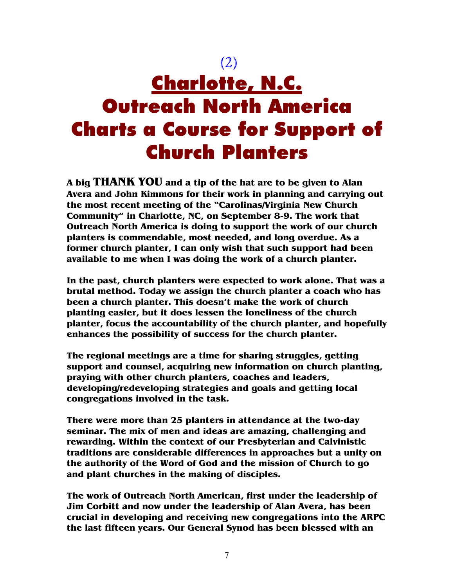# (2) Charlotte, N.C. Outreach North America Charts a Course for Support of Church Planters

**A big THANK YOU and a tip of the hat are to be given to Alan Avera and John Kimmons for their work in planning and carrying out the most recent meeting of the "Carolinas/Virginia New Church Community" in Charlotte, NC, on September 8-9. The work that Outreach North America is doing to support the work of our church planters is commendable, most needed, and long overdue. As a former church planter, I can only wish that such support had been available to me when I was doing the work of a church planter.** 

**In the past, church planters were expected to work alone. That was a brutal method. Today we assign the church planter a coach who has been a church planter. This doesn't make the work of church planting easier, but it does lessen the loneliness of the church planter, focus the accountability of the church planter, and hopefully enhances the possibility of success for the church planter.** 

**The regional meetings are a time for sharing struggles, getting support and counsel, acquiring new information on church planting, praying with other church planters, coaches and leaders, developing/redeveloping strategies and goals and getting local congregations involved in the task.** 

**There were more than 25 planters in attendance at the two-day seminar. The mix of men and ideas are amazing, challenging and rewarding. Within the context of our Presbyterian and Calvinistic traditions are considerable differences in approaches but a unity on the authority of the Word of God and the mission of Church to go and plant churches in the making of disciples.** 

**The work of Outreach North American, first under the leadership of Jim Corbitt and now under the leadership of Alan Avera, has been crucial in developing and receiving new congregations into the ARPC the last fifteen years. Our General Synod has been blessed with an**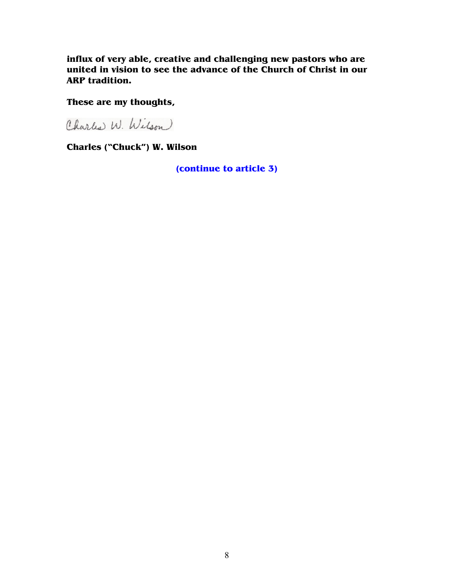**influx of very able, creative and challenging new pastors who are united in vision to see the advance of the Church of Christ in our ARP tradition.** 

### **These are my thoughts,**

Charles W. Wilson

**Charles ("Chuck") W. Wilson** 

**(continue to article 3)**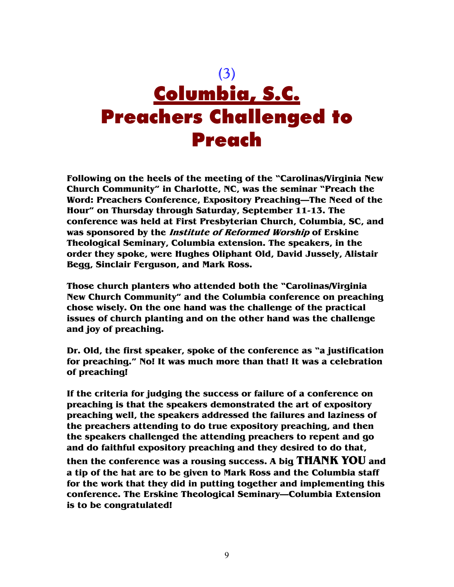

**Following on the heels of the meeting of the "Carolinas/Virginia New Church Community" in Charlotte, NC, was the seminar "Preach the Word: Preachers Conference, Expository Preaching—The Need of the Hour" on Thursday through Saturday, September 11-13. The conference was held at First Presbyterian Church, Columbia, SC, and was sponsored by the Institute of Reformed Worship of Erskine Theological Seminary, Columbia extension. The speakers, in the order they spoke, were Hughes Oliphant Old, David Jussely, Alistair Begg, Sinclair Ferguson, and Mark Ross.** 

**Those church planters who attended both the "Carolinas/Virginia New Church Community" and the Columbia conference on preaching chose wisely. On the one hand was the challenge of the practical issues of church planting and on the other hand was the challenge and joy of preaching.** 

**Dr. Old, the first speaker, spoke of the conference as "a justification for preaching." No! It was much more than that! It was a celebration of preaching!** 

**If the criteria for judging the success or failure of a conference on preaching is that the speakers demonstrated the art of expository preaching well, the speakers addressed the failures and laziness of the preachers attending to do true expository preaching, and then the speakers challenged the attending preachers to repent and go and do faithful expository preaching and they desired to do that, then the conference was a rousing success. A big THANK YOU and a tip of the hat are to be given to Mark Ross and the Columbia staff for the work that they did in putting together and implementing this conference. The Erskine Theological Seminary—Columbia Extension is to be congratulated!**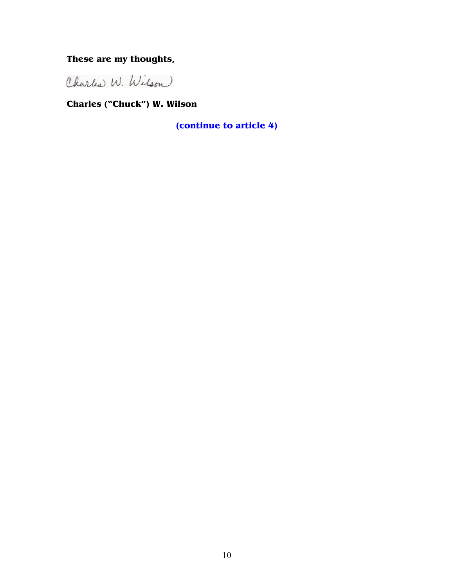### **These are my thoughts,**

Charles W. Wilson

**Charles ("Chuck") W. Wilson** 

**(continue to article 4)**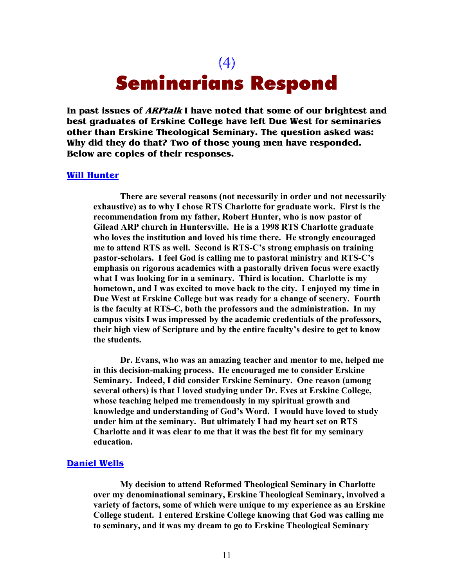## (4) Seminarians Respond

**In past issues of ARPtalk I have noted that some of our brightest and best graduates of Erskine College have left Due West for seminaries other than Erskine Theological Seminary. The question asked was: Why did they do that? Two of those young men have responded. Below are copies of their responses.** 

#### **Will Hunter**

**There are several reasons (not necessarily in order and not necessarily exhaustive) as to why I chose RTS Charlotte for graduate work. First is the recommendation from my father, Robert Hunter, who is now pastor of Gilead ARP church in Huntersville. He is a 1998 RTS Charlotte graduate who loves the institution and loved his time there. He strongly encouraged me to attend RTS as well. Second is RTS-C's strong emphasis on training pastor-scholars. I feel God is calling me to pastoral ministry and RTS-C's emphasis on rigorous academics with a pastorally driven focus were exactly what I was looking for in a seminary. Third is location. Charlotte is my hometown, and I was excited to move back to the city. I enjoyed my time in Due West at Erskine College but was ready for a change of scenery. Fourth is the faculty at RTS-C, both the professors and the administration. In my campus visits I was impressed by the academic credentials of the professors, their high view of Scripture and by the entire faculty's desire to get to know the students.** 

**Dr. Evans, who was an amazing teacher and mentor to me, helped me in this decision-making process. He encouraged me to consider Erskine Seminary. Indeed, I did consider Erskine Seminary. One reason (among several others) is that I loved studying under Dr. Eves at Erskine College, whose teaching helped me tremendously in my spiritual growth and knowledge and understanding of God's Word. I would have loved to study under him at the seminary. But ultimately I had my heart set on RTS Charlotte and it was clear to me that it was the best fit for my seminary education.** 

#### **Daniel Wells**

**My decision to attend Reformed Theological Seminary in Charlotte over my denominational seminary, Erskine Theological Seminary, involved a variety of factors, some of which were unique to my experience as an Erskine College student. I entered Erskine College knowing that God was calling me to seminary, and it was my dream to go to Erskine Theological Seminary**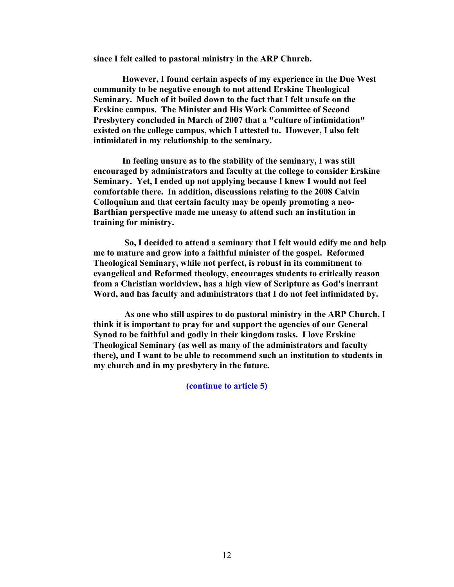**since I felt called to pastoral ministry in the ARP Church.** 

 **However, I found certain aspects of my experience in the Due West community to be negative enough to not attend Erskine Theological Seminary. Much of it boiled down to the fact that I felt unsafe on the Erskine campus. The Minister and His Work Committee of Second Presbytery concluded in March of 2007 that a "culture of intimidation" existed on the college campus, which I attested to. However, I also felt intimidated in my relationship to the seminary.** 

 **In feeling unsure as to the stability of the seminary, I was still encouraged by administrators and faculty at the college to consider Erskine Seminary. Yet, I ended up not applying because I knew I would not feel comfortable there. In addition, discussions relating to the 2008 Calvin Colloquium and that certain faculty may be openly promoting a neo-Barthian perspective made me uneasy to attend such an institution in training for ministry.** 

 **So, I decided to attend a seminary that I felt would edify me and help me to mature and grow into a faithful minister of the gospel. Reformed Theological Seminary, while not perfect, is robust in its commitment to evangelical and Reformed theology, encourages students to critically reason from a Christian worldview, has a high view of Scripture as God's inerrant Word, and has faculty and administrators that I do not feel intimidated by.** 

 **As one who still aspires to do pastoral ministry in the ARP Church, I think it is important to pray for and support the agencies of our General Synod to be faithful and godly in their kingdom tasks. I love Erskine Theological Seminary (as well as many of the administrators and faculty there), and I want to be able to recommend such an institution to students in my church and in my presbytery in the future.** 

**(continue to article 5)**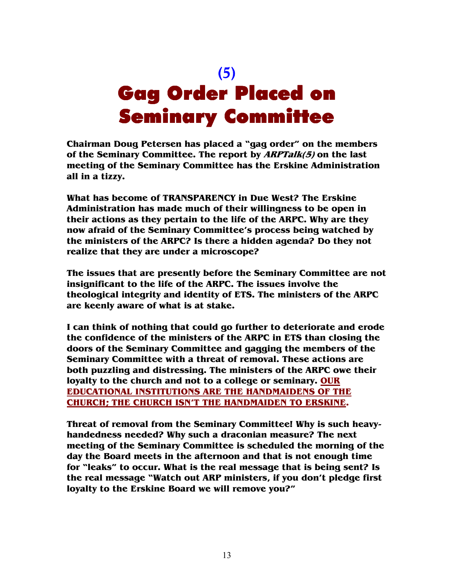# (5) Gag Order Placed on Seminary Committee

**Chairman Doug Petersen has placed a "gag order" on the members of the Seminary Committee. The report by ARPTalk(5) on the last meeting of the Seminary Committee has the Erskine Administration all in a tizzy.** 

**What has become of TRANSPARENCY in Due West? The Erskine Administration has made much of their willingness to be open in their actions as they pertain to the life of the ARPC. Why are they now afraid of the Seminary Committee's process being watched by the ministers of the ARPC? Is there a hidden agenda? Do they not realize that they are under a microscope?** 

**The issues that are presently before the Seminary Committee are not insignificant to the life of the ARPC. The issues involve the theological integrity and identity of ETS. The ministers of the ARPC are keenly aware of what is at stake.** 

**I can think of nothing that could go further to deteriorate and erode the confidence of the ministers of the ARPC in ETS than closing the doors of the Seminary Committee and gagging the members of the Seminary Committee with a threat of removal. These actions are both puzzling and distressing. The ministers of the ARPC owe their loyalty to the church and not to a college or seminary. OUR EDUCATIONAL INSTITUTIONS ARE THE HANDMAIDENS OF THE CHURCH; THE CHURCH ISN'T THE HANDMAIDEN TO ERSKINE.**

**Threat of removal from the Seminary Committee! Why is such heavyhandedness needed? Why such a draconian measure? The next meeting of the Seminary Committee is scheduled the morning of the day the Board meets in the afternoon and that is not enough time for "leaks" to occur. What is the real message that is being sent? Is the real message "Watch out ARP ministers, if you don't pledge first loyalty to the Erskine Board we will remove you?"**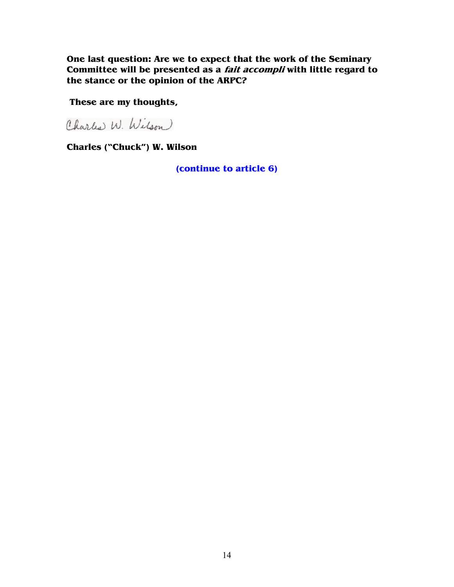**One last question: Are we to expect that the work of the Seminary Committee will be presented as a fait accompli with little regard to the stance or the opinion of the ARPC?** 

 **These are my thoughts,** 

Charles W. Wilson

**Charles ("Chuck") W. Wilson** 

**(continue to article 6)**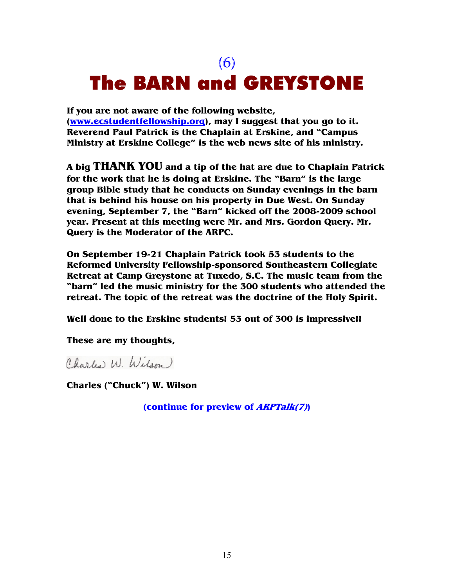## (6) The BARN and GREYSTONE

**If you are not aware of the following website, (www.ecstudentfellowship.org), may I suggest that you go to it. Reverend Paul Patrick is the Chaplain at Erskine, and "Campus Ministry at Erskine College" is the web news site of his ministry.** 

**A big THANK YOU and a tip of the hat are due to Chaplain Patrick for the work that he is doing at Erskine. The "Barn" is the large group Bible study that he conducts on Sunday evenings in the barn that is behind his house on his property in Due West. On Sunday evening, September 7, the "Barn" kicked off the 2008-2009 school year. Present at this meeting were Mr. and Mrs. Gordon Query. Mr. Query is the Moderator of the ARPC.** 

**On September 19-21 Chaplain Patrick took 53 students to the Reformed University Fellowship-sponsored Southeastern Collegiate Retreat at Camp Greystone at Tuxedo, S.C. The music team from the "barn" led the music ministry for the 300 students who attended the retreat. The topic of the retreat was the doctrine of the Holy Spirit.** 

**Well done to the Erskine students! 53 out of 300 is impressive!!** 

**These are my thoughts,** 

Charles W. Wilson)

**Charles ("Chuck") W. Wilson** 

**(continue for preview of ARPTalk(7))**